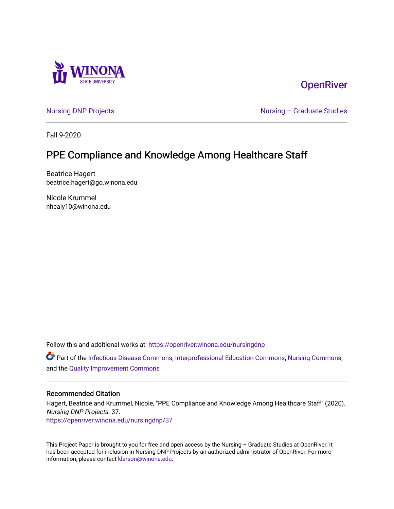

## **OpenRiver**

[Nursing DNP Projects](https://openriver.winona.edu/nursingdnp) **Nursing – Graduate Studies** 

Fall 9-2020

# PPE Compliance and Knowledge Among Healthcare Staff

Beatrice Hagert beatrice.hagert@go.winona.edu

Nicole Krummel nhealy10@winona.edu

Follow this and additional works at: [https://openriver.winona.edu/nursingdnp](https://openriver.winona.edu/nursingdnp?utm_source=openriver.winona.edu%2Fnursingdnp%2F37&utm_medium=PDF&utm_campaign=PDFCoverPages) 

Part of the [Infectious Disease Commons,](http://network.bepress.com/hgg/discipline/689?utm_source=openriver.winona.edu%2Fnursingdnp%2F37&utm_medium=PDF&utm_campaign=PDFCoverPages) [Interprofessional Education Commons,](http://network.bepress.com/hgg/discipline/1372?utm_source=openriver.winona.edu%2Fnursingdnp%2F37&utm_medium=PDF&utm_campaign=PDFCoverPages) [Nursing Commons,](http://network.bepress.com/hgg/discipline/718?utm_source=openriver.winona.edu%2Fnursingdnp%2F37&utm_medium=PDF&utm_campaign=PDFCoverPages) and the [Quality Improvement Commons](http://network.bepress.com/hgg/discipline/1430?utm_source=openriver.winona.edu%2Fnursingdnp%2F37&utm_medium=PDF&utm_campaign=PDFCoverPages)

#### Recommended Citation

Hagert, Beatrice and Krummel, Nicole, "PPE Compliance and Knowledge Among Healthcare Staff" (2020). Nursing DNP Projects. 37. [https://openriver.winona.edu/nursingdnp/37](https://openriver.winona.edu/nursingdnp/37?utm_source=openriver.winona.edu%2Fnursingdnp%2F37&utm_medium=PDF&utm_campaign=PDFCoverPages)

This Project Paper is brought to you for free and open access by the Nursing – Graduate Studies at OpenRiver. It has been accepted for inclusion in Nursing DNP Projects by an authorized administrator of OpenRiver. For more information, please contact [klarson@winona.edu](mailto:klarson@winona.edu).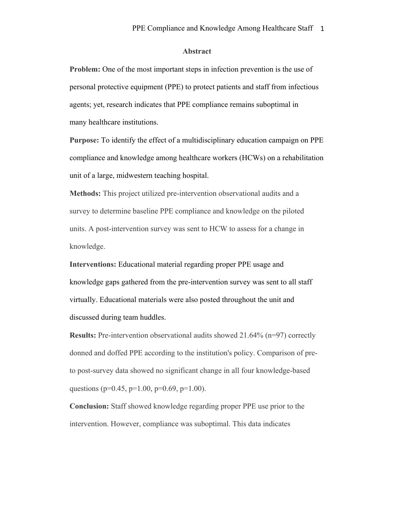#### **Abstract**

**Problem:** One of the most important steps in infection prevention is the use of personal protective equipment (PPE) to protect patients and staff from infectious agents; yet, research indicates that PPE compliance remains suboptimal in many healthcare institutions.

**Purpose:** To identify the effect of a multidisciplinary education campaign on PPE compliance and knowledge among healthcare workers (HCWs) on a rehabilitation unit of a large, midwestern teaching hospital.

**Methods:** This project utilized pre-intervention observational audits and a survey to determine baseline PPE compliance and knowledge on the piloted units. A post-intervention survey was sent to HCW to assess for a change in knowledge.

**Interventions:** Educational material regarding proper PPE usage and knowledge gaps gathered from the pre-intervention survey was sent to all staff virtually. Educational materials were also posted throughout the unit and discussed during team huddles.

**Results:** Pre-intervention observational audits showed 21.64% (n=97) correctly donned and doffed PPE according to the institution's policy. Comparison of preto post-survey data showed no significant change in all four knowledge-based questions ( $p=0.45$ ,  $p=1.00$ ,  $p=0.69$ ,  $p=1.00$ ).

**Conclusion:** Staff showed knowledge regarding proper PPE use prior to the intervention. However, compliance was suboptimal. This data indicates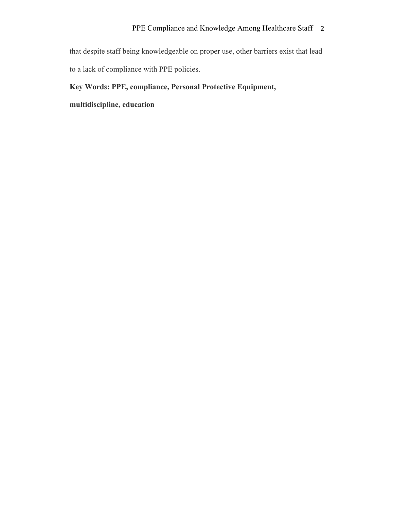that despite staff being knowledgeable on proper use, other barriers exist that lead to a lack of compliance with PPE policies.

#### **Key Words: PPE, compliance, Personal Protective Equipment,**

**multidiscipline, education**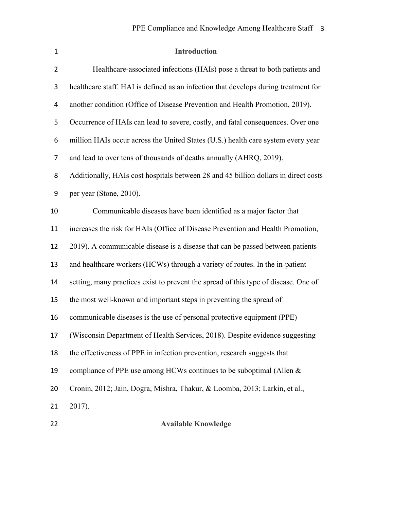| $\mathbf{1}$   | <b>Introduction</b>                                                                 |
|----------------|-------------------------------------------------------------------------------------|
| $\overline{2}$ | Healthcare-associated infections (HAIs) pose a threat to both patients and          |
| 3              | healthcare staff. HAI is defined as an infection that develops during treatment for |
| 4              | another condition (Office of Disease Prevention and Health Promotion, 2019).        |
| 5              | Occurrence of HAIs can lead to severe, costly, and fatal consequences. Over one     |
| 6              | million HAIs occur across the United States (U.S.) health care system every year    |
| 7              | and lead to over tens of thousands of deaths annually (AHRQ, 2019).                 |
| 8              | Additionally, HAIs cost hospitals between 28 and 45 billion dollars in direct costs |
| 9              | per year (Stone, 2010).                                                             |
| 10             | Communicable diseases have been identified as a major factor that                   |
| 11             | increases the risk for HAIs (Office of Disease Prevention and Health Promotion,     |
| 12             | 2019). A communicable disease is a disease that can be passed between patients      |
| 13             | and healthcare workers (HCWs) through a variety of routes. In the in-patient        |
| 14             | setting, many practices exist to prevent the spread of this type of disease. One of |
| 15             | the most well-known and important steps in preventing the spread of                 |
| 16             | communicable diseases is the use of personal protective equipment (PPE)             |
| 17             | (Wisconsin Department of Health Services, 2018). Despite evidence suggesting        |
| 18             | the effectiveness of PPE in infection prevention, research suggests that            |
| 19             | compliance of PPE use among HCWs continues to be suboptimal (Allen &                |
| 20             | Cronin, 2012; Jain, Dogra, Mishra, Thakur, & Loomba, 2013; Larkin, et al.,          |
| 21             | 2017).                                                                              |
| 22             | <b>Available Knowledge</b>                                                          |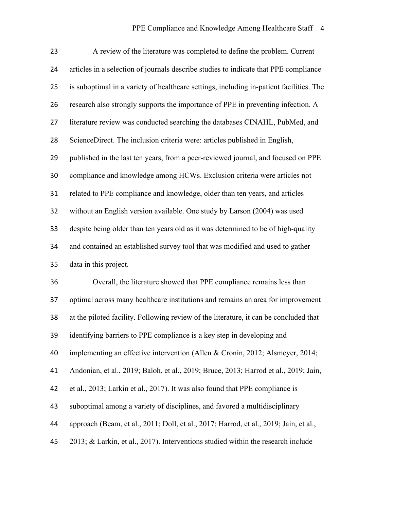| 23 | A review of the literature was completed to define the problem. Current                 |
|----|-----------------------------------------------------------------------------------------|
| 24 | articles in a selection of journals describe studies to indicate that PPE compliance    |
| 25 | is suboptimal in a variety of healthcare settings, including in-patient facilities. The |
| 26 | research also strongly supports the importance of PPE in preventing infection. A        |
| 27 | literature review was conducted searching the databases CINAHL, PubMed, and             |
| 28 | ScienceDirect. The inclusion criteria were: articles published in English,              |
| 29 | published in the last ten years, from a peer-reviewed journal, and focused on PPE       |
| 30 | compliance and knowledge among HCWs. Exclusion criteria were articles not               |
| 31 | related to PPE compliance and knowledge, older than ten years, and articles             |
| 32 | without an English version available. One study by Larson (2004) was used               |
| 33 | despite being older than ten years old as it was determined to be of high-quality       |
| 34 | and contained an established survey tool that was modified and used to gather           |
| 35 | data in this project.                                                                   |
| 36 | Overall, the literature showed that PPE compliance remains less than                    |
| 37 | optimal across many healthcare institutions and remains an area for improvement         |
| 38 | at the piloted facility. Following review of the literature, it can be concluded that   |
| 39 | identifying barriers to PPE compliance is a key step in developing and                  |
| 40 | implementing an effective intervention (Allen & Cronin, 2012; Alsmeyer, 2014;           |
| 41 | Andonian, et al., 2019; Baloh, et al., 2019; Bruce, 2013; Harrod et al., 2019; Jain,    |
| 42 | et al., 2013; Larkin et al., 2017). It was also found that PPE compliance is            |
| 43 | suboptimal among a variety of disciplines, and favored a multidisciplinary              |
| 44 | approach (Beam, et al., 2011; Doll, et al., 2017; Harrod, et al., 2019; Jain, et al.,   |
| 45 | 2013; & Larkin, et al., 2017). Interventions studied within the research include        |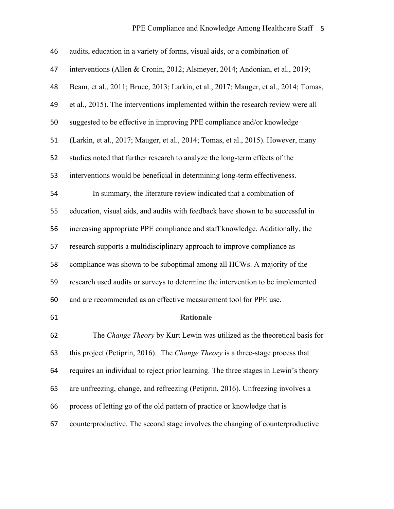| 46 | audits, education in a variety of forms, visual aids, or a combination of           |
|----|-------------------------------------------------------------------------------------|
| 47 | interventions (Allen & Cronin, 2012; Alsmeyer, 2014; Andonian, et al., 2019;        |
| 48 | Beam, et al., 2011; Bruce, 2013; Larkin, et al., 2017; Mauger, et al., 2014; Tomas, |
| 49 | et al., 2015). The interventions implemented within the research review were all    |
| 50 | suggested to be effective in improving PPE compliance and/or knowledge              |
| 51 | (Larkin, et al., 2017; Mauger, et al., 2014; Tomas, et al., 2015). However, many    |
| 52 | studies noted that further research to analyze the long-term effects of the         |
| 53 | interventions would be beneficial in determining long-term effectiveness.           |
| 54 | In summary, the literature review indicated that a combination of                   |
| 55 | education, visual aids, and audits with feedback have shown to be successful in     |
| 56 | increasing appropriate PPE compliance and staff knowledge. Additionally, the        |
| 57 | research supports a multidisciplinary approach to improve compliance as             |
| 58 | compliance was shown to be suboptimal among all HCWs. A majority of the             |
| 59 | research used audits or surveys to determine the intervention to be implemented     |
| 60 | and are recommended as an effective measurement tool for PPE use.                   |
| 61 | <b>Rationale</b>                                                                    |
| 62 | The Change Theory by Kurt Lewin was utilized as the theoretical basis for           |
| 63 | this project (Petiprin, 2016). The Change Theory is a three-stage process that      |
| 64 | requires an individual to reject prior learning. The three stages in Lewin's theory |
| 65 | are unfreezing, change, and refreezing (Petiprin, 2016). Unfreezing involves a      |
| 66 | process of letting go of the old pattern of practice or knowledge that is           |
| 67 | counterproductive. The second stage involves the changing of counterproductive      |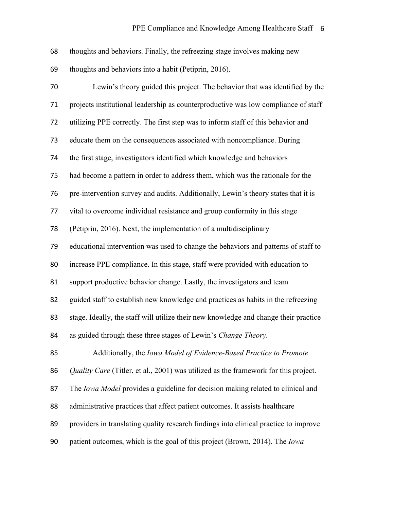| 68 | thoughts and behaviors. Finally, the refreezing stage involves making new            |
|----|--------------------------------------------------------------------------------------|
| 69 | thoughts and behaviors into a habit (Petiprin, 2016).                                |
| 70 | Lewin's theory guided this project. The behavior that was identified by the          |
| 71 | projects institutional leadership as counterproductive was low compliance of staff   |
| 72 | utilizing PPE correctly. The first step was to inform staff of this behavior and     |
| 73 | educate them on the consequences associated with noncompliance. During               |
| 74 | the first stage, investigators identified which knowledge and behaviors              |
| 75 | had become a pattern in order to address them, which was the rationale for the       |
| 76 | pre-intervention survey and audits. Additionally, Lewin's theory states that it is   |
| 77 | vital to overcome individual resistance and group conformity in this stage           |
| 78 | (Petiprin, 2016). Next, the implementation of a multidisciplinary                    |
| 79 | educational intervention was used to change the behaviors and patterns of staff to   |
| 80 | increase PPE compliance. In this stage, staff were provided with education to        |
| 81 | support productive behavior change. Lastly, the investigators and team               |
| 82 | guided staff to establish new knowledge and practices as habits in the refreezing    |
| 83 | stage. Ideally, the staff will utilize their new knowledge and change their practice |
| 84 | as guided through these three stages of Lewin's Change Theory.                       |
| 85 | Additionally, the Iowa Model of Evidence-Based Practice to Promote                   |
| 86 | Quality Care (Titler, et al., 2001) was utilized as the framework for this project.  |
| 87 | The Iowa Model provides a guideline for decision making related to clinical and      |
| 88 | administrative practices that affect patient outcomes. It assists healthcare         |
| 89 | providers in translating quality research findings into clinical practice to improve |
| 90 | patient outcomes, which is the goal of this project (Brown, 2014). The Iowa          |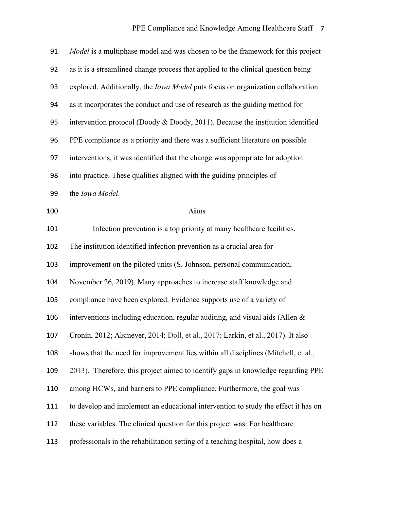| 91  | Model is a multiphase model and was chosen to be the framework for this project        |
|-----|----------------------------------------------------------------------------------------|
| 92  | as it is a streamlined change process that applied to the clinical question being      |
| 93  | explored. Additionally, the <i>Iowa Model</i> puts focus on organization collaboration |
| 94  | as it incorporates the conduct and use of research as the guiding method for           |
| 95  | intervention protocol (Doody & Doody, 2011). Because the institution identified        |
| 96  | PPE compliance as a priority and there was a sufficient literature on possible         |
| 97  | interventions, it was identified that the change was appropriate for adoption          |
| 98  | into practice. These qualities aligned with the guiding principles of                  |
| 99  | the Iowa Model.                                                                        |
| 100 | <b>Aims</b>                                                                            |
| 101 | Infection prevention is a top priority at many healthcare facilities.                  |
| 102 | The institution identified infection prevention as a crucial area for                  |
| 103 | improvement on the piloted units (S. Johnson, personal communication,                  |
| 104 | November 26, 2019). Many approaches to increase staff knowledge and                    |
| 105 | compliance have been explored. Evidence supports use of a variety of                   |
| 106 | interventions including education, regular auditing, and visual aids (Allen &          |
| 107 | Cronin, 2012; Alsmeyer, 2014; Doll, et al., 2017; Larkin, et al., 2017). It also       |
| 108 | shows that the need for improvement lies within all disciplines (Mitchell, et al.,     |
| 109 | 2013). Therefore, this project aimed to identify gaps in knowledge regarding PPE       |
| 110 | among HCWs, and barriers to PPE compliance. Furthermore, the goal was                  |
| 111 | to develop and implement an educational intervention to study the effect it has on     |
| 112 | these variables. The clinical question for this project was: For healthcare            |
| 113 | professionals in the rehabilitation setting of a teaching hospital, how does a         |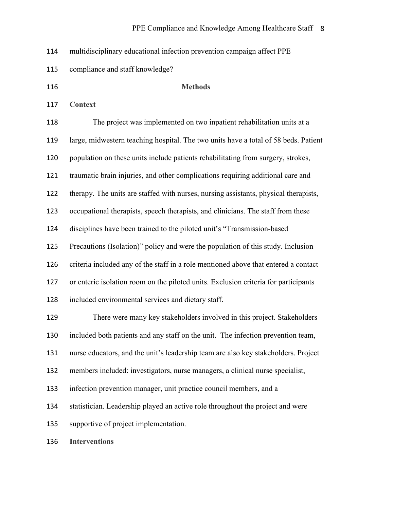multidisciplinary educational infection prevention campaign affect PPE

- compliance and staff knowledge?
- 

#### **Methods**

**Context**

 The project was implemented on two inpatient rehabilitation units at a large, midwestern teaching hospital. The two units have a total of 58 beds. Patient population on these units include patients rehabilitating from surgery, strokes, traumatic brain injuries, and other complications requiring additional care and therapy. The units are staffed with nurses, nursing assistants, physical therapists, occupational therapists, speech therapists, and clinicians. The staff from these disciplines have been trained to the piloted unit's "Transmission-based Precautions (Isolation)" policy and were the population of this study. Inclusion criteria included any of the staff in a role mentioned above that entered a contact or enteric isolation room on the piloted units. Exclusion criteria for participants included environmental services and dietary staff. There were many key stakeholders involved in this project. Stakeholders included both patients and any staff on the unit. The infection prevention team, nurse educators, and the unit's leadership team are also key stakeholders. Project members included: investigators, nurse managers, a clinical nurse specialist, infection prevention manager, unit practice council members, and a statistician. Leadership played an active role throughout the project and were supportive of project implementation.

**Interventions**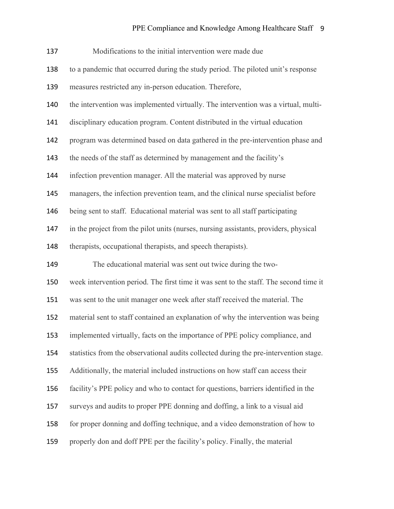| 137 | Modifications to the initial intervention were made due                               |
|-----|---------------------------------------------------------------------------------------|
| 138 | to a pandemic that occurred during the study period. The piloted unit's response      |
| 139 | measures restricted any in-person education. Therefore,                               |
| 140 | the intervention was implemented virtually. The intervention was a virtual, multi-    |
| 141 | disciplinary education program. Content distributed in the virtual education          |
| 142 | program was determined based on data gathered in the pre-intervention phase and       |
| 143 | the needs of the staff as determined by management and the facility's                 |
| 144 | infection prevention manager. All the material was approved by nurse                  |
| 145 | managers, the infection prevention team, and the clinical nurse specialist before     |
| 146 | being sent to staff. Educational material was sent to all staff participating         |
| 147 | in the project from the pilot units (nurses, nursing assistants, providers, physical  |
| 148 | therapists, occupational therapists, and speech therapists).                          |
| 149 | The educational material was sent out twice during the two-                           |
| 150 | week intervention period. The first time it was sent to the staff. The second time it |
| 151 | was sent to the unit manager one week after staff received the material. The          |
| 152 | material sent to staff contained an explanation of why the intervention was being     |
| 153 | implemented virtually, facts on the importance of PPE policy compliance, and          |
| 154 | statistics from the observational audits collected during the pre-intervention stage. |
| 155 | Additionally, the material included instructions on how staff can access their        |
| 156 | facility's PPE policy and who to contact for questions, barriers identified in the    |
| 157 | surveys and audits to proper PPE donning and doffing, a link to a visual aid          |
| 158 | for proper donning and doffing technique, and a video demonstration of how to         |
| 159 | properly don and doff PPE per the facility's policy. Finally, the material            |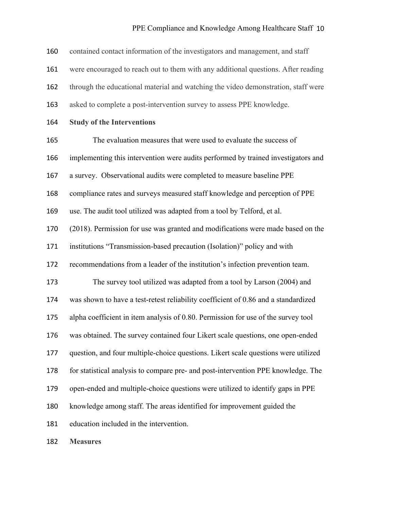### PPE Compliance and Knowledge Among Healthcare Staff 10

| 160 | contained contact information of the investigators and management, and staff       |
|-----|------------------------------------------------------------------------------------|
| 161 | were encouraged to reach out to them with any additional questions. After reading  |
| 162 | through the educational material and watching the video demonstration, staff were  |
| 163 | asked to complete a post-intervention survey to assess PPE knowledge.              |
| 164 | <b>Study of the Interventions</b>                                                  |
| 165 | The evaluation measures that were used to evaluate the success of                  |
| 166 | implementing this intervention were audits performed by trained investigators and  |
| 167 | a survey. Observational audits were completed to measure baseline PPE              |
| 168 | compliance rates and surveys measured staff knowledge and perception of PPE        |
| 169 | use. The audit tool utilized was adapted from a tool by Telford, et al.            |
| 170 | (2018). Permission for use was granted and modifications were made based on the    |
| 171 | institutions "Transmission-based precaution (Isolation)" policy and with           |
| 172 | recommendations from a leader of the institution's infection prevention team.      |
| 173 | The survey tool utilized was adapted from a tool by Larson (2004) and              |
| 174 | was shown to have a test-retest reliability coefficient of 0.86 and a standardized |
| 175 | alpha coefficient in item analysis of 0.80. Permission for use of the survey tool  |
| 176 | was obtained. The survey contained four Likert scale questions, one open-ended     |
| 177 | question, and four multiple-choice questions. Likert scale questions were utilized |
| 178 | for statistical analysis to compare pre- and post-intervention PPE knowledge. The  |
| 179 | open-ended and multiple-choice questions were utilized to identify gaps in PPE     |
| 180 | knowledge among staff. The areas identified for improvement guided the             |
| 181 | education included in the intervention.                                            |
|     |                                                                                    |

**Measures**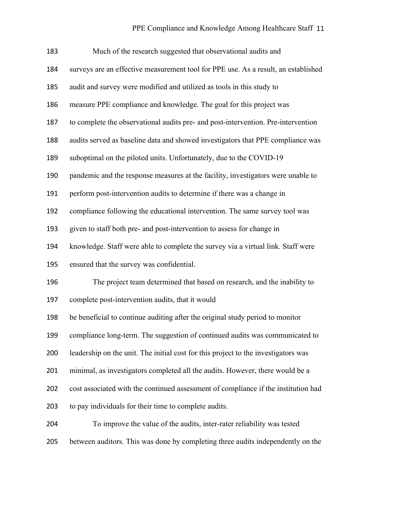| 183 | Much of the research suggested that observational audits and                       |
|-----|------------------------------------------------------------------------------------|
| 184 | surveys are an effective measurement tool for PPE use. As a result, an established |
| 185 | audit and survey were modified and utilized as tools in this study to              |
| 186 | measure PPE compliance and knowledge. The goal for this project was                |
| 187 | to complete the observational audits pre- and post-intervention. Pre-intervention  |
| 188 | audits served as baseline data and showed investigators that PPE compliance was    |
| 189 | suboptimal on the piloted units. Unfortunately, due to the COVID-19                |
| 190 | pandemic and the response measures at the facility, investigators were unable to   |
| 191 | perform post-intervention audits to determine if there was a change in             |
| 192 | compliance following the educational intervention. The same survey tool was        |
| 193 | given to staff both pre- and post-intervention to assess for change in             |
| 194 | knowledge. Staff were able to complete the survey via a virtual link. Staff were   |
| 195 | ensured that the survey was confidential.                                          |
| 196 | The project team determined that based on research, and the inability to           |
| 197 | complete post-intervention audits, that it would                                   |
| 198 | be beneficial to continue auditing after the original study period to monitor      |
| 199 | compliance long-term. The suggestion of continued audits was communicated to       |
| 200 | leadership on the unit. The initial cost for this project to the investigators was |
| 201 | minimal, as investigators completed all the audits. However, there would be a      |
| 202 | cost associated with the continued assessment of compliance if the institution had |
| 203 | to pay individuals for their time to complete audits.                              |
| 204 | To improve the value of the audits, inter-rater reliability was tested             |
| 205 | between auditors. This was done by completing three audits independently on the    |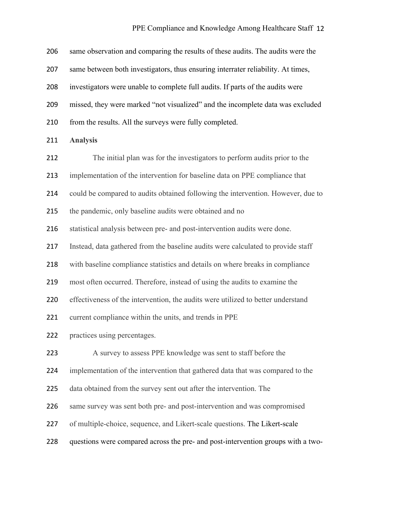| 206 | same observation and comparing the results of these audits. The audits were the  |
|-----|----------------------------------------------------------------------------------|
| 207 | same between both investigators, thus ensuring interrater reliability. At times, |
| 208 | investigators were unable to complete full audits. If parts of the audits were   |
| 209 | missed, they were marked "not visualized" and the incomplete data was excluded   |
| 210 | from the results. All the surveys were fully completed.                          |
| 211 | <b>Analysis</b>                                                                  |
| 212 | The initial plan was for the investigators to perform audits prior to the        |
| 213 | implementation of the intervention for baseline data on PPE compliance that      |
| 214 | could be compared to audits obtained following the intervention. However, due to |
| 215 | the pandemic, only baseline audits were obtained and no                          |
| 216 | statistical analysis between pre- and post-intervention audits were done.        |
| 217 | Instead, data gathered from the baseline audits were calculated to provide staff |
| 218 | with baseline compliance statistics and details on where breaks in compliance    |
| 219 | most often occurred. Therefore, instead of using the audits to examine the       |
| 220 | effectiveness of the intervention, the audits were utilized to better understand |
| 221 | current compliance within the units, and trends in PPE                           |
| 222 | practices using percentages.                                                     |
| 223 | A survey to assess PPE knowledge was sent to staff before the                    |
| 224 | implementation of the intervention that gathered data that was compared to the   |
| 225 | data obtained from the survey sent out after the intervention. The               |
| 226 | same survey was sent both pre- and post-intervention and was compromised         |
| 227 | of multiple-choice, sequence, and Likert-scale questions. The Likert-scale       |
| 228 | questions were compared across the pre- and post-intervention groups with a two- |
|     |                                                                                  |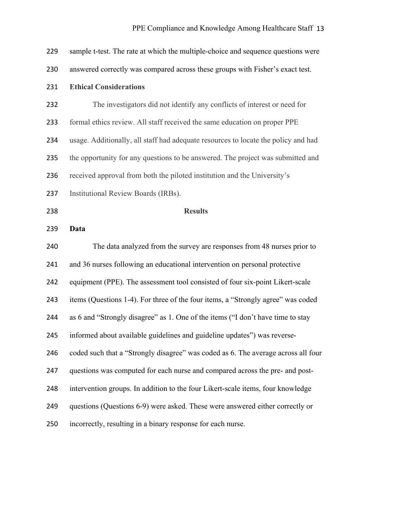| 229 | sample t-test. The rate at which the multiple-choice and sequence questions were   |
|-----|------------------------------------------------------------------------------------|
| 230 | answered correctly was compared across these groups with Fisher's exact test.      |
| 231 | <b>Ethical Considerations</b>                                                      |
| 232 | The investigators did not identify any conflicts of interest or need for           |
| 233 | formal ethics review. All staff received the same education on proper PPE          |
| 234 | usage. Additionally, all staff had adequate resources to locate the policy and had |
| 235 | the opportunity for any questions to be answered. The project was submitted and    |
| 236 | received approval from both the piloted institution and the University's           |
| 237 | Institutional Review Boards (IRBs).                                                |
| 238 | <b>Results</b>                                                                     |
| 239 | Data                                                                               |
|     |                                                                                    |
| 240 | The data analyzed from the survey are responses from 48 nurses prior to            |
| 241 | and 36 nurses following an educational intervention on personal protective         |
| 242 | equipment (PPE). The assessment tool consisted of four six-point Likert-scale      |
| 243 | items (Questions 1-4). For three of the four items, a "Strongly agree" was coded   |
| 244 | as 6 and "Strongly disagree" as 1. One of the items ("I don't have time to stay    |
| 245 | informed about available guidelines and guideline updates") was reverse-           |
| 246 | coded such that a "Strongly disagree" was coded as 6. The average across all four  |
| 247 | questions was computed for each nurse and compared across the pre- and post-       |
| 248 | intervention groups. In addition to the four Likert-scale items, four knowledge    |
| 249 | questions (Questions 6-9) were asked. These were answered either correctly or      |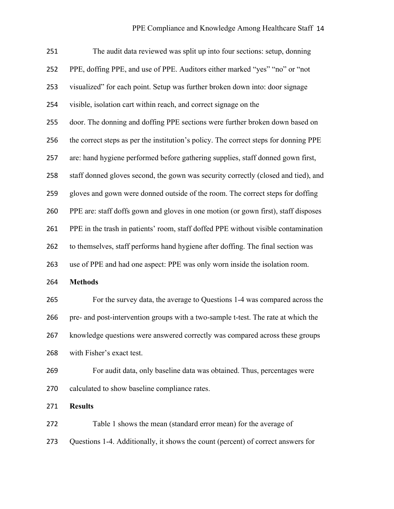| 251 | The audit data reviewed was split up into four sections: setup, donning              |
|-----|--------------------------------------------------------------------------------------|
| 252 | PPE, doffing PPE, and use of PPE. Auditors either marked "yes" "no" or "not          |
| 253 | visualized" for each point. Setup was further broken down into: door signage         |
| 254 | visible, isolation cart within reach, and correct signage on the                     |
| 255 | door. The donning and doffing PPE sections were further broken down based on         |
| 256 | the correct steps as per the institution's policy. The correct steps for donning PPE |
| 257 | are: hand hygiene performed before gathering supplies, staff donned gown first,      |
| 258 | staff donned gloves second, the gown was security correctly (closed and tied), and   |
| 259 | gloves and gown were donned outside of the room. The correct steps for doffing       |
| 260 | PPE are: staff doffs gown and gloves in one motion (or gown first), staff disposes   |
| 261 | PPE in the trash in patients' room, staff doffed PPE without visible contamination   |
| 262 | to themselves, staff performs hand hygiene after doffing. The final section was      |
| 263 | use of PPE and had one aspect: PPE was only worn inside the isolation room.          |
| 264 | <b>Methods</b>                                                                       |
| 265 | For the survey data, the average to Questions 1-4 was compared across the            |
| 266 | pre- and post-intervention groups with a two-sample t-test. The rate at which the    |
| 267 | knowledge questions were answered correctly was compared across these groups         |
| 268 | with Fisher's exact test.                                                            |
| 269 | For audit data, only baseline data was obtained. Thus, percentages were              |
| 270 | calculated to show baseline compliance rates.                                        |
| 271 | <b>Results</b>                                                                       |
| 272 | Table 1 shows the mean (standard error mean) for the average of                      |

Questions 1-4. Additionally, it shows the count (percent) of correct answers for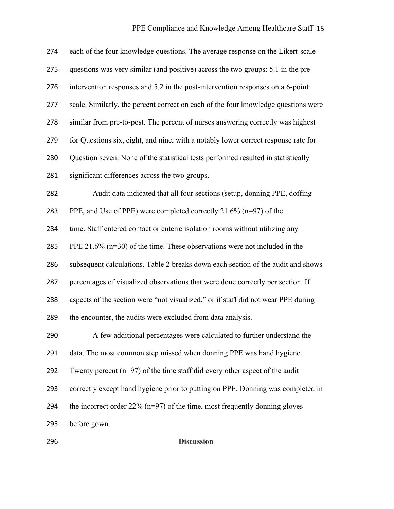| 274 | each of the four knowledge questions. The average response on the Likert-scale     |
|-----|------------------------------------------------------------------------------------|
| 275 | questions was very similar (and positive) across the two groups: 5.1 in the pre-   |
| 276 | intervention responses and 5.2 in the post-intervention responses on a 6-point     |
| 277 | scale. Similarly, the percent correct on each of the four knowledge questions were |
| 278 | similar from pre-to-post. The percent of nurses answering correctly was highest    |
| 279 | for Questions six, eight, and nine, with a notably lower correct response rate for |
| 280 | Question seven. None of the statistical tests performed resulted in statistically  |
| 281 | significant differences across the two groups.                                     |
| 282 | Audit data indicated that all four sections (setup, donning PPE, doffing           |
| 283 | PPE, and Use of PPE) were completed correctly 21.6% (n=97) of the                  |
| 284 | time. Staff entered contact or enteric isolation rooms without utilizing any       |
| 285 | PPE 21.6% $(n=30)$ of the time. These observations were not included in the        |
| 286 | subsequent calculations. Table 2 breaks down each section of the audit and shows   |
| 287 | percentages of visualized observations that were done correctly per section. If    |
| 288 | aspects of the section were "not visualized," or if staff did not wear PPE during  |
| 289 | the encounter, the audits were excluded from data analysis.                        |
| 290 | A few additional percentages were calculated to further understand the             |
| 291 | data. The most common step missed when donning PPE was hand hygiene.               |
| 292 | Twenty percent $(n=97)$ of the time staff did every other aspect of the audit      |
| 293 | correctly except hand hygiene prior to putting on PPE. Donning was completed in    |
| 294 | the incorrect order $22\%$ (n=97) of the time, most frequently donning gloves      |
| 295 | before gown.                                                                       |

**Discussion**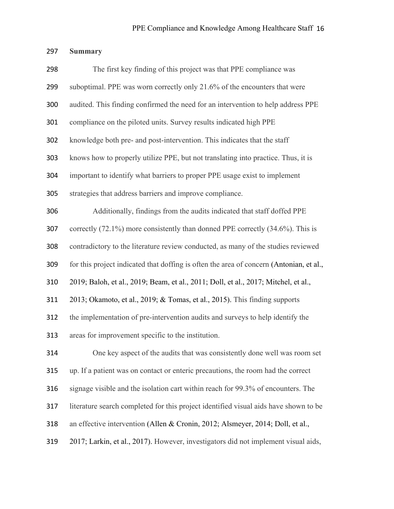## **Summary**

| 298 | The first key finding of this project was that PPE compliance was                       |
|-----|-----------------------------------------------------------------------------------------|
| 299 | suboptimal. PPE was worn correctly only 21.6% of the encounters that were               |
| 300 | audited. This finding confirmed the need for an intervention to help address PPE        |
| 301 | compliance on the piloted units. Survey results indicated high PPE                      |
| 302 | knowledge both pre- and post-intervention. This indicates that the staff                |
| 303 | knows how to properly utilize PPE, but not translating into practice. Thus, it is       |
| 304 | important to identify what barriers to proper PPE usage exist to implement              |
| 305 | strategies that address barriers and improve compliance.                                |
| 306 | Additionally, findings from the audits indicated that staff doffed PPE                  |
| 307 | correctly $(72.1\%)$ more consistently than donned PPE correctly $(34.6\%)$ . This is   |
| 308 | contradictory to the literature review conducted, as many of the studies reviewed       |
| 309 | for this project indicated that doffing is often the area of concern (Antonian, et al., |
| 310 | 2019; Baloh, et al., 2019; Beam, et al., 2011; Doll, et al., 2017; Mitchel, et al.,     |
| 311 | 2013; Okamoto, et al., 2019; & Tomas, et al., 2015). This finding supports              |
| 312 | the implementation of pre-intervention audits and surveys to help identify the          |
| 313 | areas for improvement specific to the institution.                                      |
| 314 | One key aspect of the audits that was consistently done well was room set               |
| 315 | up. If a patient was on contact or enteric precautions, the room had the correct        |
| 316 | signage visible and the isolation cart within reach for 99.3% of encounters. The        |
| 317 | literature search completed for this project identified visual aids have shown to be    |
| 318 | an effective intervention (Allen & Cronin, 2012; Alsmeyer, 2014; Doll, et al.,          |
| 319 | 2017; Larkin, et al., 2017). However, investigators did not implement visual aids,      |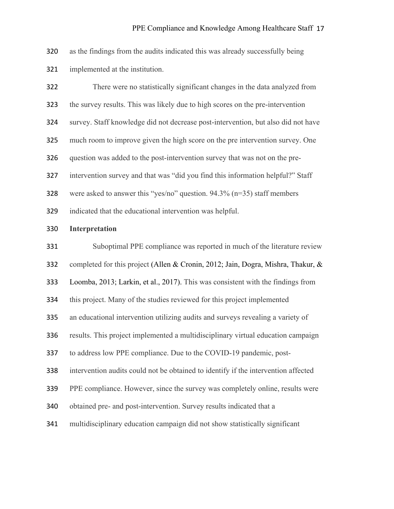as the findings from the audits indicated this was already successfully being implemented at the institution.

| 322 | There were no statistically significant changes in the data analyzed from          |
|-----|------------------------------------------------------------------------------------|
| 323 | the survey results. This was likely due to high scores on the pre-intervention     |
| 324 | survey. Staff knowledge did not decrease post-intervention, but also did not have  |
| 325 | much room to improve given the high score on the pre intervention survey. One      |
| 326 | question was added to the post-intervention survey that was not on the pre-        |
| 327 | intervention survey and that was "did you find this information helpful?" Staff    |
| 328 | were asked to answer this "yes/no" question. $94.3\%$ (n=35) staff members         |
| 329 | indicated that the educational intervention was helpful.                           |
| 330 | <b>Interpretation</b>                                                              |
| 331 | Suboptimal PPE compliance was reported in much of the literature review            |
| 332 | completed for this project (Allen & Cronin, 2012; Jain, Dogra, Mishra, Thakur, &   |
| 333 | Loomba, 2013; Larkin, et al., 2017). This was consistent with the findings from    |
| 334 | this project. Many of the studies reviewed for this project implemented            |
| 335 | an educational intervention utilizing audits and surveys revealing a variety of    |
| 336 | results. This project implemented a multidisciplinary virtual education campaign   |
| 337 | to address low PPE compliance. Due to the COVID-19 pandemic, post-                 |
| 338 | intervention audits could not be obtained to identify if the intervention affected |
| 339 | PPE compliance. However, since the survey was completely online, results were      |
| 340 | obtained pre- and post-intervention. Survey results indicated that a               |
| 341 | multidisciplinary education campaign did not show statistically significant        |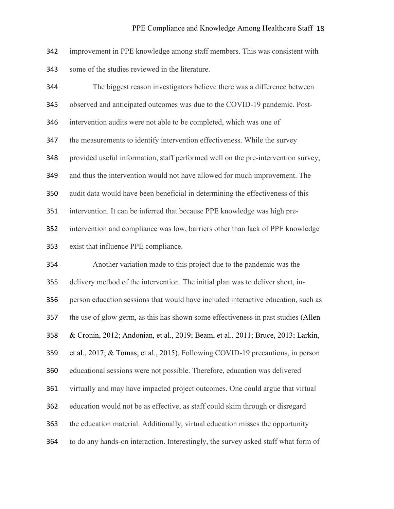improvement in PPE knowledge among staff members. This was consistent with some of the studies reviewed in the literature.

 The biggest reason investigators believe there was a difference between observed and anticipated outcomes was due to the COVID-19 pandemic. Post- intervention audits were not able to be completed, which was one of the measurements to identify intervention effectiveness. While the survey provided useful information, staff performed well on the pre-intervention survey, and thus the intervention would not have allowed for much improvement. The audit data would have been beneficial in determining the effectiveness of this intervention. It can be inferred that because PPE knowledge was high pre- intervention and compliance was low, barriers other than lack of PPE knowledge exist that influence PPE compliance. Another variation made to this project due to the pandemic was the delivery method of the intervention. The initial plan was to deliver short, in- person education sessions that would have included interactive education, such as the use of glow germ, as this has shown some effectiveness in past studies (Allen & Cronin, 2012; Andonian, et al., 2019; Beam, et al., 2011; Bruce, 2013; Larkin, et al., 2017; & Tomas, et al., 2015). Following COVID-19 precautions, in person educational sessions were not possible. Therefore, education was delivered virtually and may have impacted project outcomes. One could argue that virtual education would not be as effective, as staff could skim through or disregard the education material. Additionally, virtual education misses the opportunity to do any hands-on interaction. Interestingly, the survey asked staff what form of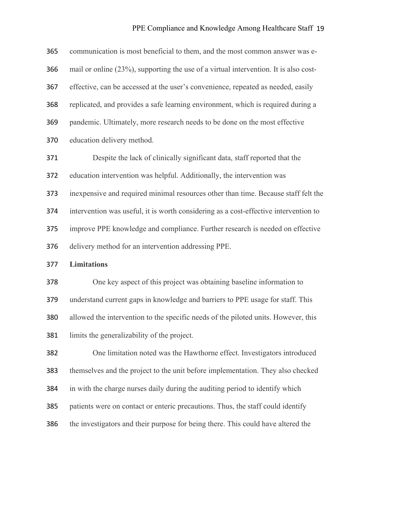### PPE Compliance and Knowledge Among Healthcare Staff 19

| 365 | communication is most beneficial to them, and the most common answer was e-          |  |  |  |  |
|-----|--------------------------------------------------------------------------------------|--|--|--|--|
| 366 | mail or online (23%), supporting the use of a virtual intervention. It is also cost- |  |  |  |  |
| 367 | effective, can be accessed at the user's convenience, repeated as needed, easily     |  |  |  |  |
| 368 | replicated, and provides a safe learning environment, which is required during a     |  |  |  |  |
| 369 | pandemic. Ultimately, more research needs to be done on the most effective           |  |  |  |  |
| 370 | education delivery method.                                                           |  |  |  |  |
| 371 | Despite the lack of clinically significant data, staff reported that the             |  |  |  |  |
| 372 | education intervention was helpful. Additionally, the intervention was               |  |  |  |  |
| 373 | inexpensive and required minimal resources other than time. Because staff felt the   |  |  |  |  |
| 374 | intervention was useful, it is worth considering as a cost-effective intervention to |  |  |  |  |
| 375 | improve PPE knowledge and compliance. Further research is needed on effective        |  |  |  |  |
| 376 | delivery method for an intervention addressing PPE.                                  |  |  |  |  |
| 377 | <b>Limitations</b>                                                                   |  |  |  |  |
| 378 | One key aspect of this project was obtaining baseline information to                 |  |  |  |  |
| 379 | understand current gaps in knowledge and barriers to PPE usage for staff. This       |  |  |  |  |
| 380 | allowed the intervention to the specific needs of the piloted units. However, this   |  |  |  |  |
| 381 | limits the generalizability of the project.                                          |  |  |  |  |
| 382 | One limitation noted was the Hawthorne effect. Investigators introduced              |  |  |  |  |
| 383 | themselves and the project to the unit before implementation. They also checked      |  |  |  |  |
| 384 | in with the charge nurses daily during the auditing period to identify which         |  |  |  |  |
| 385 | patients were on contact or enteric precautions. Thus, the staff could identify      |  |  |  |  |
| 386 | the investigators and their purpose for being there. This could have altered the     |  |  |  |  |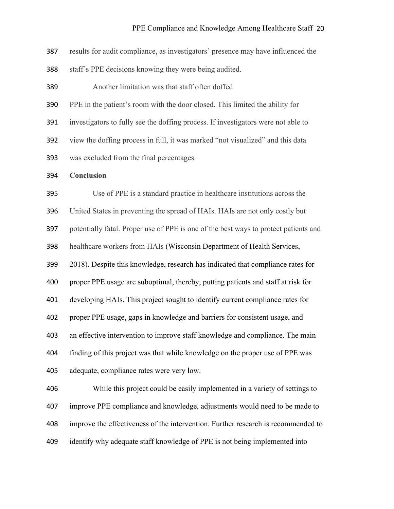results for audit compliance, as investigators' presence may have influenced the

staff's PPE decisions knowing they were being audited.

Another limitation was that staff often doffed

PPE in the patient's room with the door closed. This limited the ability for

investigators to fully see the doffing process. If investigators were not able to

view the doffing process in full, it was marked "not visualized" and this data

was excluded from the final percentages.

**Conclusion**

Use of PPE is a standard practice in healthcare institutions across the

United States in preventing the spread of HAIs. HAIs are not only costly but

potentially fatal. Proper use of PPE is one of the best ways to protect patients and

healthcare workers from HAIs (Wisconsin Department of Health Services,

2018). Despite this knowledge, research has indicated that compliance rates for

proper PPE usage are suboptimal, thereby, putting patients and staff at risk for

developing HAIs. This project sought to identify current compliance rates for

proper PPE usage, gaps in knowledge and barriers for consistent usage, and

an effective intervention to improve staff knowledge and compliance. The main

 finding of this project was that while knowledge on the proper use of PPE was adequate, compliance rates were very low.

 While this project could be easily implemented in a variety of settings to improve PPE compliance and knowledge, adjustments would need to be made to improve the effectiveness of the intervention. Further research is recommended to identify why adequate staff knowledge of PPE is not being implemented into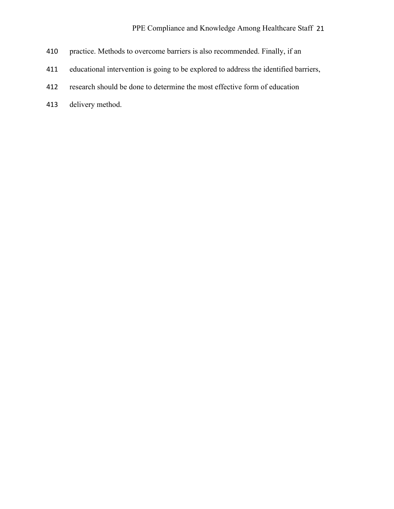- practice. Methods to overcome barriers is also recommended. Finally, if an
- educational intervention is going to be explored to address the identified barriers,
- research should be done to determine the most effective form of education
- delivery method.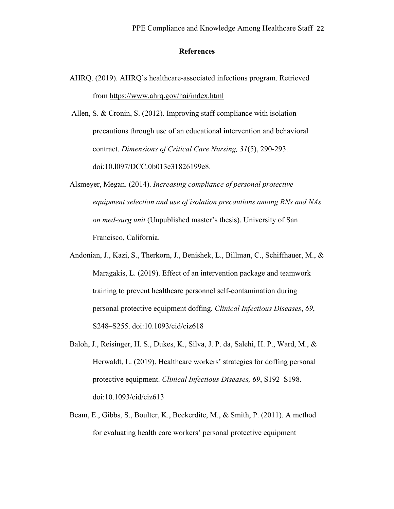#### **References**

AHRQ. (2019). AHRQ's healthcare-associated infections program. Retrieved from https://www.ahrq.gov/hai/index.html

Allen, S. & Cronin, S. (2012). Improving staff compliance with isolation precautions through use of an educational intervention and behavioral contract. *Dimensions of Critical Care Nursing, 31*(5), 290-293. doi:10.l097/DCC.0b013e31826199e8.

- Alsmeyer, Megan. (2014). *Increasing compliance of personal protective equipment selection and use of isolation precautions among RNs and NAs on med-surg unit* (Unpublished master's thesis). University of San Francisco, California.
- Andonian, J., Kazi, S., Therkorn, J., Benishek, L., Billman, C., Schiffhauer, M., & Maragakis, L. (2019). Effect of an intervention package and teamwork training to prevent healthcare personnel self-contamination during personal protective equipment doffing. *Clinical Infectious Diseases*, *69*, S248–S255. doi:10.1093/cid/ciz618
- Baloh, J., Reisinger, H. S., Dukes, K., Silva, J. P. da, Salehi, H. P., Ward, M., & Herwaldt, L. (2019). Healthcare workers' strategies for doffing personal protective equipment. *Clinical Infectious Diseases, 69*, S192–S198. doi:10.1093/cid/ciz613
- Beam, E., Gibbs, S., Boulter, K., Beckerdite, M., & Smith, P. (2011). A method for evaluating health care workers' personal protective equipment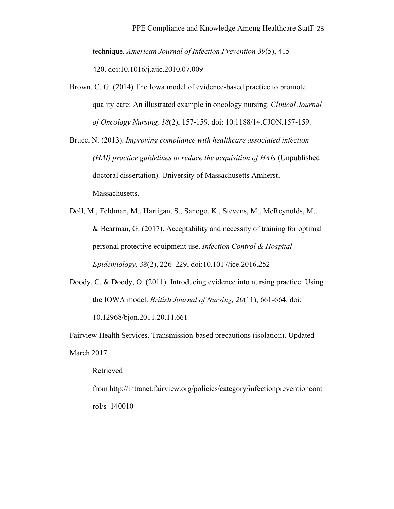technique. *American Journal of Infection Prevention 39*(5), 415- 420. doi:10.1016/j.ajic.2010.07.009

- Brown, C. G. (2014) The Iowa model of evidence-based practice to promote quality care: An illustrated example in oncology nursing. *Clinical Journal of Oncology Nursing, 18*(2), 157-159. doi: 10.1188/14.CJON.157-159.
- Bruce, N. (2013). *Improving compliance with healthcare associated infection (HAI) practice guidelines to reduce the acquisition of HAIs* (Unpublished doctoral dissertation). University of Massachusetts Amherst, Massachusetts.
- Doll, M., Feldman, M., Hartigan, S., Sanogo, K., Stevens, M., McReynolds, M., & Bearman, G. (2017). Acceptability and necessity of training for optimal personal protective equipment use. *Infection Control & Hospital Epidemiology, 38*(2), 226–229. doi:10.1017/ice.2016.252
- Doody, C. & Doody, O. (2011). Introducing evidence into nursing practice: Using the IOWA model. *British Journal of Nursing, 20*(11), 661-664. doi: 10.12968/bjon.2011.20.11.661

Fairview Health Services. Transmission-based precautions (isolation). Updated March 2017.

Retrieved

from http://intranet.fairview.org/policies/category/infectionpreventioncont rol/s\_140010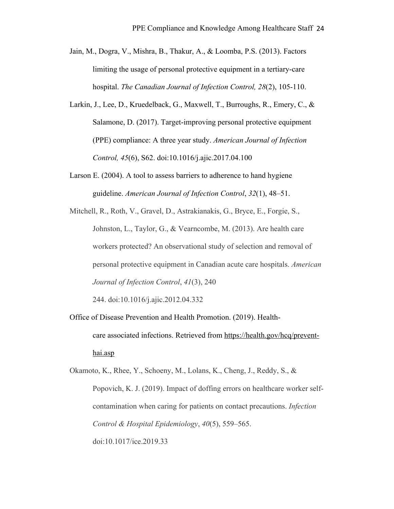- Jain, M., Dogra, V., Mishra, B., Thakur, A., & Loomba, P.S. (2013). Factors limiting the usage of personal protective equipment in a tertiary-care hospital. *The Canadian Journal of Infection Control, 28*(2), 105-110.
- Larkin, J., Lee, D., Kruedelback, G., Maxwell, T., Burroughs, R., Emery, C., & Salamone, D. (2017). Target-improving personal protective equipment (PPE) compliance: A three year study. *American Journal of Infection Control, 45*(6), S62. doi:10.1016/j.ajic.2017.04.100
- Larson E. (2004). A tool to assess barriers to adherence to hand hygiene guideline. *American Journal of Infection Control*, *32*(1), 48–51.
- Mitchell, R., Roth, V., Gravel, D., Astrakianakis, G., Bryce, E., Forgie, S., Johnston, L., Taylor, G., & Vearncombe, M. (2013). Are health care workers protected? An observational study of selection and removal of personal protective equipment in Canadian acute care hospitals. *American Journal of Infection Control*, *41*(3), 240

244. doi:10.1016/j.ajic.2012.04.332

Office of Disease Prevention and Health Promotion. (2019). Healthcare associated infections. Retrieved from https://health.gov/hcq/preventhai.asp

Okamoto, K., Rhee, Y., Schoeny, M., Lolans, K., Cheng, J., Reddy, S., & Popovich, K. J. (2019). Impact of doffing errors on healthcare worker selfcontamination when caring for patients on contact precautions. *Infection Control & Hospital Epidemiology*, *40*(5), 559–565. doi:10.1017/ice.2019.33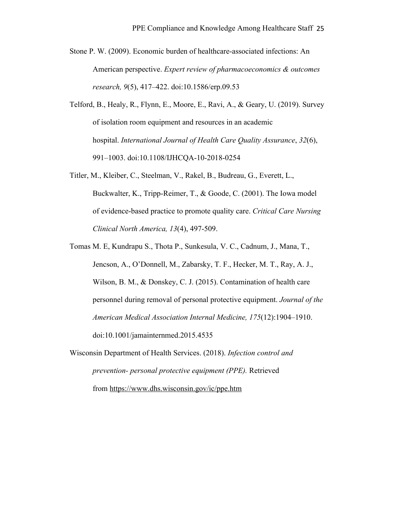- Stone P. W. (2009). Economic burden of healthcare-associated infections: An American perspective. *Expert review of pharmacoeconomics & outcomes research, 9*(5), 417–422. doi:10.1586/erp.09.53
- Telford, B., Healy, R., Flynn, E., Moore, E., Ravi, A., & Geary, U. (2019). Survey of isolation room equipment and resources in an academic hospital. *International Journal of Health Care Quality Assurance*, *32*(6), 991–1003. doi:10.1108/IJHCQA-10-2018-0254
- Titler, M., Kleiber, C., Steelman, V., Rakel, B., Budreau, G., Everett, L., Buckwalter, K., Tripp-Reimer, T., & Goode, C. (2001). The Iowa model of evidence-based practice to promote quality care. *Critical Care Nursing Clinical North America, 13*(4), 497-509.
- Tomas M. E, Kundrapu S., Thota P., Sunkesula, V. C., Cadnum, J., Mana, T., Jencson, A., O'Donnell, M., Zabarsky, T. F., Hecker, M. T., Ray, A. J., Wilson, B. M., & Donskey, C. J. (2015). Contamination of health care personnel during removal of personal protective equipment. *Journal of the American Medical Association Internal Medicine, 175*(12):1904–1910. doi:10.1001/jamainternmed.2015.4535
- Wisconsin Department of Health Services. (2018). *Infection control and prevention- personal protective equipment (PPE).* Retrieved from https://www.dhs.wisconsin.gov/ic/ppe.htm